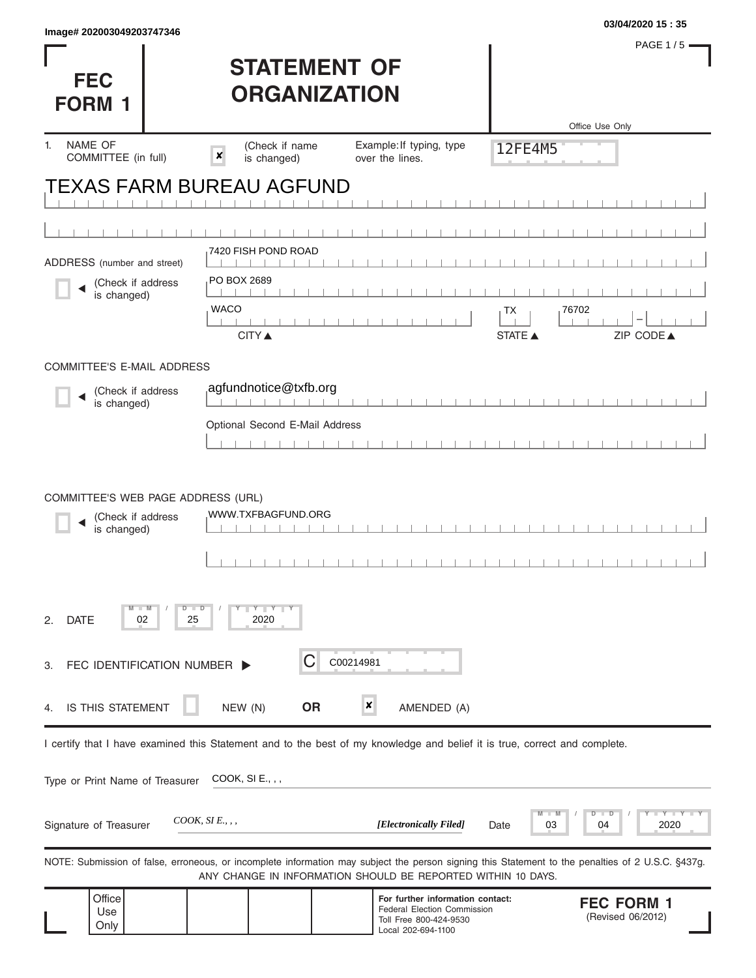| $m$ ggun 2020000402001410<br><b>FEC</b><br><b>FORM 1</b>               |    | <b>STATEMENT OF</b><br><b>ORGANIZATION</b>      |           |                                                                                                                            |                | PAGE 1/5 -<br>Office Use Only                                                                                                                     |
|------------------------------------------------------------------------|----|-------------------------------------------------|-----------|----------------------------------------------------------------------------------------------------------------------------|----------------|---------------------------------------------------------------------------------------------------------------------------------------------------|
| NAME OF<br>1.<br>COMMITTEE (in full)                                   |    | (Check if name<br>$\pmb{\times}$<br>is changed) |           | Example: If typing, type<br>over the lines.                                                                                | 12FE4M5        |                                                                                                                                                   |
| <b>TEXAS FARM BUREAU AGFUND</b>                                        |    |                                                 |           |                                                                                                                            |                |                                                                                                                                                   |
|                                                                        |    |                                                 |           |                                                                                                                            |                |                                                                                                                                                   |
| ADDRESS (number and street)                                            |    | 7420 FISH POND ROAD                             |           |                                                                                                                            |                |                                                                                                                                                   |
| (Check if address<br>is changed)                                       |    | PO BOX 2689                                     |           |                                                                                                                            |                |                                                                                                                                                   |
|                                                                        |    | <b>WACO</b>                                     |           |                                                                                                                            | TХ             | 76702                                                                                                                                             |
|                                                                        |    | <b>CITY ▲</b>                                   |           |                                                                                                                            | <b>STATE ▲</b> | ZIP CODE▲                                                                                                                                         |
| COMMITTEE'S E-MAIL ADDRESS                                             |    |                                                 |           |                                                                                                                            |                |                                                                                                                                                   |
| (Check if address<br>is changed)                                       |    | agfundnotice@txfb.org                           |           |                                                                                                                            |                |                                                                                                                                                   |
|                                                                        |    | Optional Second E-Mail Address                  |           |                                                                                                                            |                |                                                                                                                                                   |
|                                                                        |    |                                                 |           |                                                                                                                            |                |                                                                                                                                                   |
| COMMITTEE'S WEB PAGE ADDRESS (URL)<br>(Check if address<br>is changed) |    | WWW.TXFBAGFUND.ORG                              |           |                                                                                                                            |                |                                                                                                                                                   |
| <b>DATE</b><br>02<br>2.                                                | 25 | Y Y Y<br>⊃<br>2020                              |           |                                                                                                                            |                |                                                                                                                                                   |
| FEC IDENTIFICATION NUMBER ><br>З.                                      |    |                                                 |           | C00214981                                                                                                                  |                |                                                                                                                                                   |
| IS THIS STATEMENT<br>4.                                                |    | NEW (N)                                         | <b>OR</b> | ×<br>AMENDED (A)                                                                                                           |                |                                                                                                                                                   |
|                                                                        |    |                                                 |           | I certify that I have examined this Statement and to the best of my knowledge and belief it is true, correct and complete. |                |                                                                                                                                                   |
| Type or Print Name of Treasurer                                        |    | COOK, SI E., , ,                                |           |                                                                                                                            |                |                                                                                                                                                   |
| Signature of Treasurer                                                 |    | $COOK, SI E.,$ ,                                |           | [Electronically Filed]                                                                                                     | 03<br>Date     | $-Y - Y - I$<br>D<br>т<br>D<br>2020<br>04                                                                                                         |
|                                                                        |    |                                                 |           | ANY CHANGE IN INFORMATION SHOULD BE REPORTED WITHIN 10 DAYS.                                                               |                | NOTE: Submission of false, erroneous, or incomplete information may subject the person signing this Statement to the penalties of 2 U.S.C. §437g. |
| Office<br>Use<br>Only                                                  |    |                                                 |           | For further information contact:<br><b>Federal Election Commission</b><br>Toll Free 800-424-9530<br>Local 202-694-1100     |                | <b>FEC FORM 1</b><br>(Revised 06/2012)                                                                                                            |

**03/04/2020 15 : 35 Image# 202003049203747346**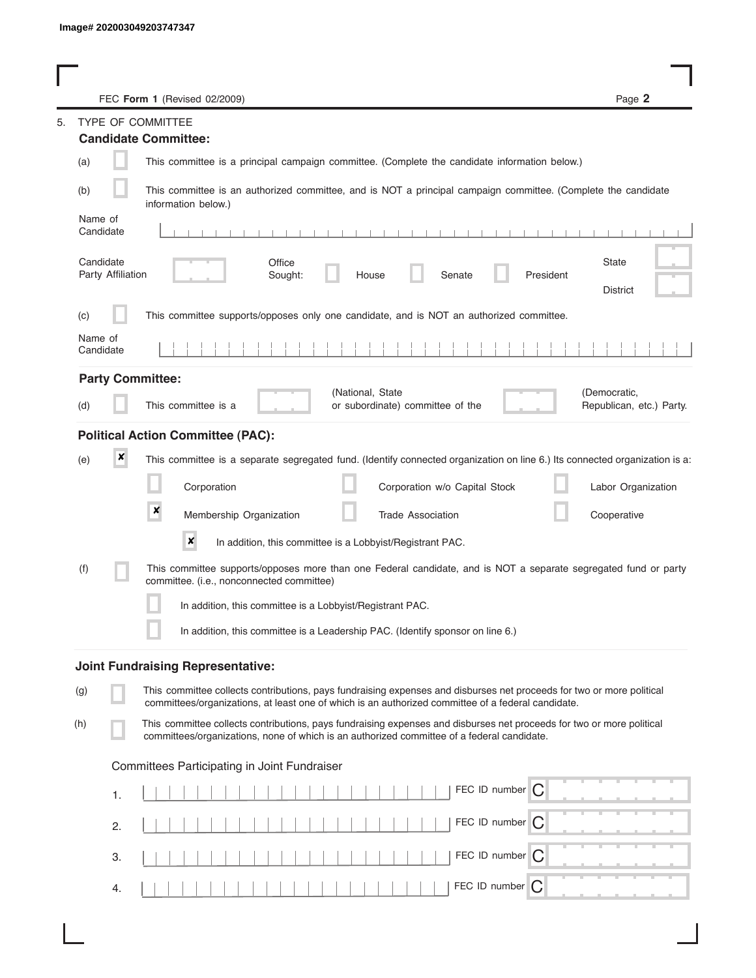I

|                      |                   | FEC Form 1 (Revised 02/2009)                                                                                                                                                                                                | Page 2                                   |
|----------------------|-------------------|-----------------------------------------------------------------------------------------------------------------------------------------------------------------------------------------------------------------------------|------------------------------------------|
|                      |                   | <b>TYPE OF COMMITTEE</b>                                                                                                                                                                                                    |                                          |
|                      |                   | <b>Candidate Committee:</b>                                                                                                                                                                                                 |                                          |
| (a)                  |                   | This committee is a principal campaign committee. (Complete the candidate information below.)                                                                                                                               |                                          |
| (b)                  |                   | This committee is an authorized committee, and is NOT a principal campaign committee. (Complete the candidate<br>information below.)                                                                                        |                                          |
| Name of<br>Candidate |                   |                                                                                                                                                                                                                             |                                          |
| Candidate            | Party Affiliation | Office<br>Sought:<br>House<br>Senate<br>President                                                                                                                                                                           | State<br><b>District</b>                 |
| (C)                  |                   | This committee supports/opposes only one candidate, and is NOT an authorized committee.                                                                                                                                     |                                          |
| Name of<br>Candidate |                   |                                                                                                                                                                                                                             |                                          |
|                      |                   | <b>Party Committee:</b>                                                                                                                                                                                                     |                                          |
| (d)                  |                   | (National, State<br>This committee is a<br>or subordinate) committee of the                                                                                                                                                 | (Democratic,<br>Republican, etc.) Party. |
|                      |                   | <b>Political Action Committee (PAC):</b>                                                                                                                                                                                    |                                          |
| (e)                  | ×                 | This committee is a separate segregated fund. (Identify connected organization on line 6.) Its connected organization is a:                                                                                                 |                                          |
|                      |                   | Corporation<br>Corporation w/o Capital Stock                                                                                                                                                                                | Labor Organization                       |
|                      |                   | $\boldsymbol{x}$<br>Membership Organization<br><b>Trade Association</b>                                                                                                                                                     | Cooperative                              |
|                      |                   | ×<br>In addition, this committee is a Lobbyist/Registrant PAC.                                                                                                                                                              |                                          |
| (f)                  |                   | This committee supports/opposes more than one Federal candidate, and is NOT a separate segregated fund or party<br>committee. (i.e., nonconnected committee)                                                                |                                          |
|                      |                   | In addition, this committee is a Lobbyist/Registrant PAC.                                                                                                                                                                   |                                          |
|                      |                   | In addition, this committee is a Leadership PAC. (Identify sponsor on line 6.)                                                                                                                                              |                                          |
|                      |                   | <b>Joint Fundraising Representative:</b>                                                                                                                                                                                    |                                          |
| (g)                  |                   | This committee collects contributions, pays fundraising expenses and disburses net proceeds for two or more political<br>committees/organizations, at least one of which is an authorized committee of a federal candidate. |                                          |
| (h)                  |                   | This committee collects contributions, pays fundraising expenses and disburses net proceeds for two or more political<br>committees/organizations, none of which is an authorized committee of a federal candidate.         |                                          |
|                      |                   | Committees Participating in Joint Fundraiser                                                                                                                                                                                |                                          |
|                      | 1.                | FEC ID number C                                                                                                                                                                                                             |                                          |
|                      | 2.                | FEC ID number $\bigcap$                                                                                                                                                                                                     |                                          |
|                      | 3.                | FEC ID number C                                                                                                                                                                                                             |                                          |
|                      | 4.                | FEC ID number<br>C                                                                                                                                                                                                          |                                          |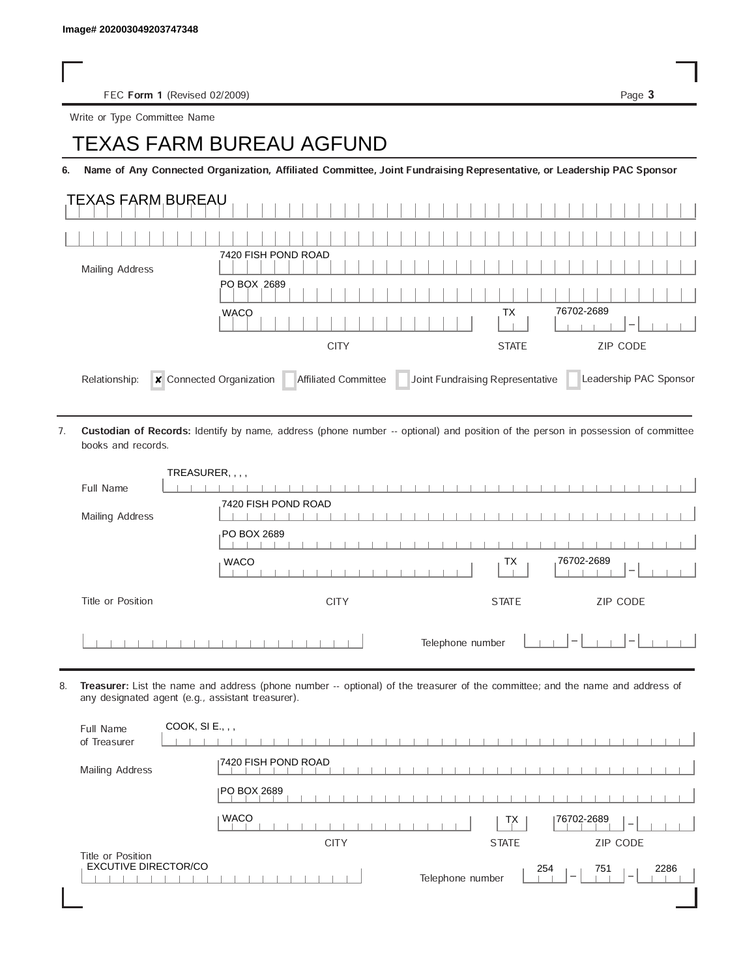FEC Form 1 (Revised 02/2009) Page 3

Write or Type Committee Name

## Image# 202003049203747348<br>
FEC Form 1 (Revised 02/2009)<br>
Write or Type Committee Name<br> **TEXAS FARM BUREAU AGFUND**

6. Name of Any Connected Organization, Affiliated Committee, Joint Fundraising Representative, or Leadership PAC Sponsor

| <b>TEXAS FARM BUREAU</b> |                     |                                 |
|--------------------------|---------------------|---------------------------------|
|                          |                     |                                 |
| <b>Mailing Address</b>   | 7420 FISH POND ROAD |                                 |
|                          | PO BOX 2689         |                                 |
|                          |                     |                                 |
|                          | <b>WACO</b>         | 76702-2689<br>ТX                |
|                          | <b>CITY</b>         | <b>ZIP CODE</b><br><b>STATE</b> |

Custodian of Records: Identify by name, address (phone number -- optional) and position of the person in possession of committee books and records. 7.

| TREASURER, , , ,  |                                                                                        |
|-------------------|----------------------------------------------------------------------------------------|
| Full Name         |                                                                                        |
| Mailing Address   | 7420 FISH POND ROAD                                                                    |
|                   | PO BOX 2689                                                                            |
|                   | 76702-2689<br>TX<br><b>WACO</b><br>$\overline{\phantom{a}}$                            |
| Title or Position | ZIP CODE<br><b>CITY</b><br><b>STATE</b>                                                |
|                   | Telephone number<br>$\hspace{0.1mm}-\hspace{0.1mm}$<br>$\hspace{0.1mm}-\hspace{0.1mm}$ |

8. Treasurer: List the name and address (phone number -- optional) of the treasurer of the committee; and the name and address of any designated agent (e.g., assistant treasurer).

| COOK, SI E., , ,<br>Full Name<br>of Treasurer    |                                                                                         |
|--------------------------------------------------|-----------------------------------------------------------------------------------------|
| Mailing Address                                  | 7420 FISH POND ROAD                                                                     |
|                                                  | <b>IPO BOX 2689</b>                                                                     |
|                                                  | <b>WACO</b><br>76702-2689<br>ТX<br>$\overline{\phantom{a}}$                             |
|                                                  | <b>ZIP CODE</b><br><b>CITY</b><br><b>STATE</b>                                          |
| Title or Position<br><b>EXCUTIVE DIRECTOR/CO</b> | 254<br>751<br>2286<br>Telephone number<br>$\hspace{0.05cm}$<br>$\overline{\phantom{a}}$ |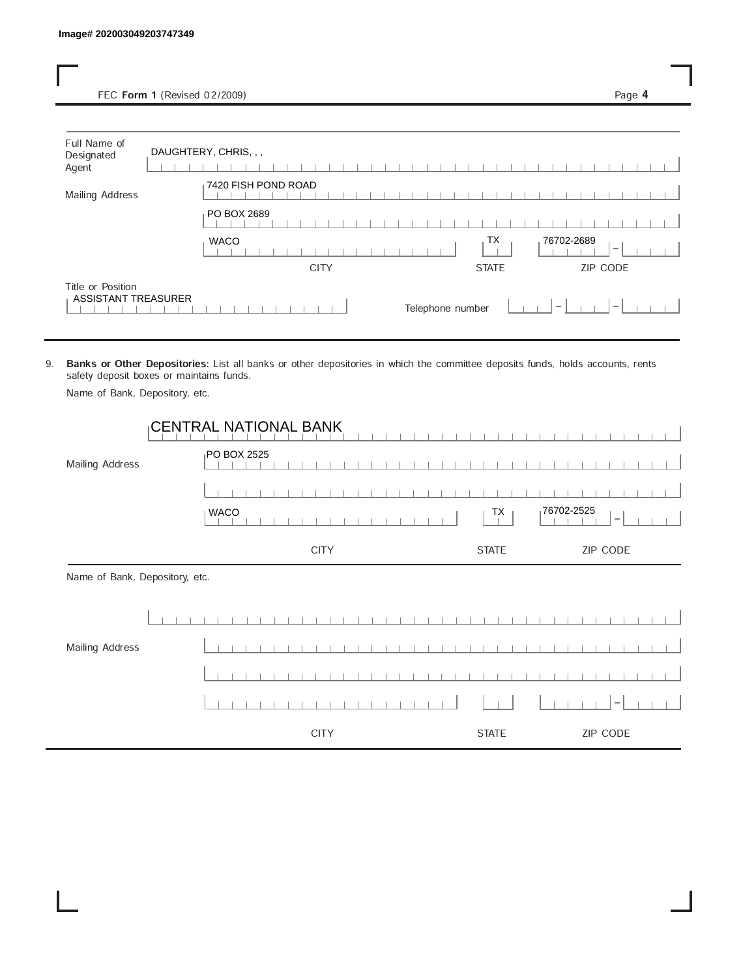| Full Name of<br>Designated<br>Agent | DAUGHTERY, CHRIS, , , |              |                  |
|-------------------------------------|-----------------------|--------------|------------------|
| Mailing Address                     | 7420 FISH POND ROAD   |              |                  |
|                                     | PO BOX 2689           |              |                  |
|                                     |                       | TX           | 76702-2689       |
|                                     | <b>WACO</b>           |              | $\hspace{0.5cm}$ |
|                                     | <b>CITY</b>           | <b>STATE</b> | ZIP CODE         |

9. Banks or Other Depositories: List all banks or other depositories in which the committee deposits funds, holds accounts, rents safety deposit boxes or maintains funds.

Name of Bank, Depository, etc.

|                                | <b>CENTRAL NATIONAL BANK</b> |                                              |
|--------------------------------|------------------------------|----------------------------------------------|
| Mailing Address                | <sub>I</sub> PO BOX 2525     |                                              |
|                                |                              |                                              |
|                                | <b>WACO</b>                  | 76702-2525<br>TX<br>$\overline{\phantom{a}}$ |
|                                | <b>CITY</b>                  | ZIP CODE<br><b>STATE</b>                     |
| Name of Bank, Depository, etc. |                              |                                              |
|                                |                              |                                              |
| Mailing Address                |                              |                                              |
|                                |                              |                                              |
|                                |                              | -                                            |
|                                | <b>CITY</b>                  | ZIP CODE<br><b>STATE</b>                     |